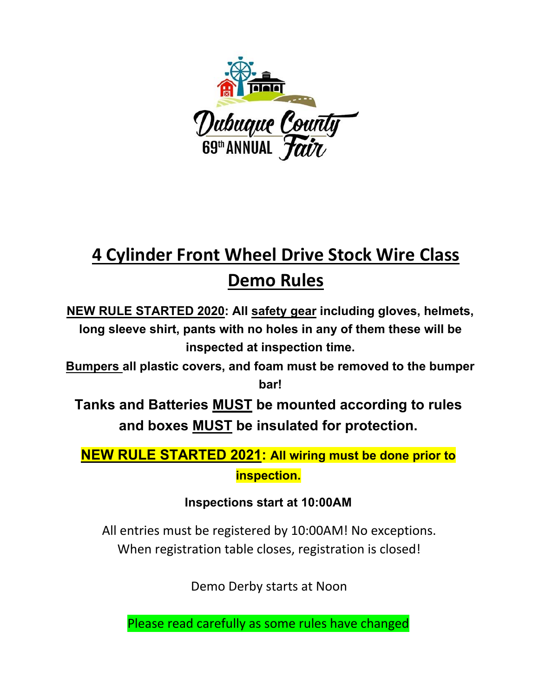

# **4 Cylinder Front Wheel Drive Stock Wire Class Demo Rules**

**NEW RULE STARTED 2020: All safety gear including gloves, helmets, long sleeve shirt, pants with no holes in any of them these will be inspected at inspection time.** 

**Bumpers all plastic covers, and foam must be removed to the bumper bar!**

**Tanks and Batteries MUST be mounted according to rules and boxes MUST be insulated for protection.** 

# **NEW RULE STARTED 2021: All wiring must be done prior to inspection.**

## **Inspections start at 10:00AM**

All entries must be registered by 10:00AM! No exceptions. When registration table closes, registration is closed!

Demo Derby starts at Noon

Please read carefully as some rules have changed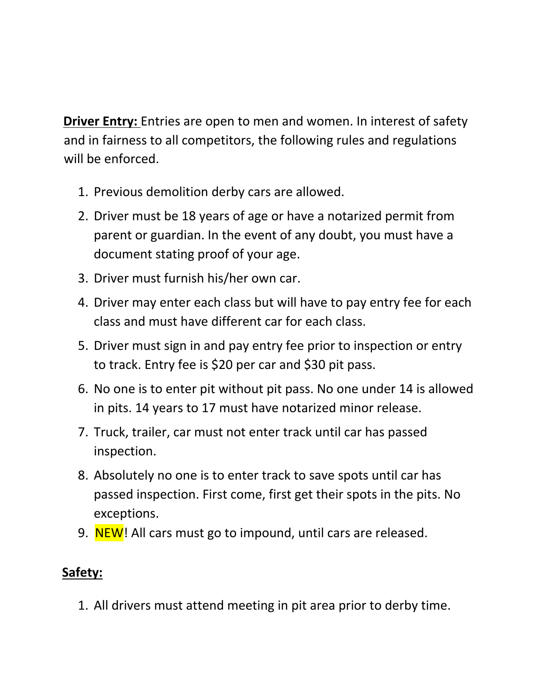**Driver Entry:** Entries are open to men and women. In interest of safety and in fairness to all competitors, the following rules and regulations will be enforced.

- 1. Previous demolition derby cars are allowed.
- 2. Driver must be 18 years of age or have a notarized permit from parent or guardian. In the event of any doubt, you must have a document stating proof of your age.
- 3. Driver must furnish his/her own car.
- 4. Driver may enter each class but will have to pay entry fee for each class and must have different car for each class.
- 5. Driver must sign in and pay entry fee prior to inspection or entry to track. Entry fee is \$20 per car and \$30 pit pass.
- 6. No one is to enter pit without pit pass. No one under 14 is allowed in pits. 14 years to 17 must have notarized minor release.
- 7. Truck, trailer, car must not enter track until car has passed inspection.
- 8. Absolutely no one is to enter track to save spots until car has passed inspection. First come, first get their spots in the pits. No exceptions.
- 9. NEW! All cars must go to impound, until cars are released.

## **Safety:**

1. All drivers must attend meeting in pit area prior to derby time.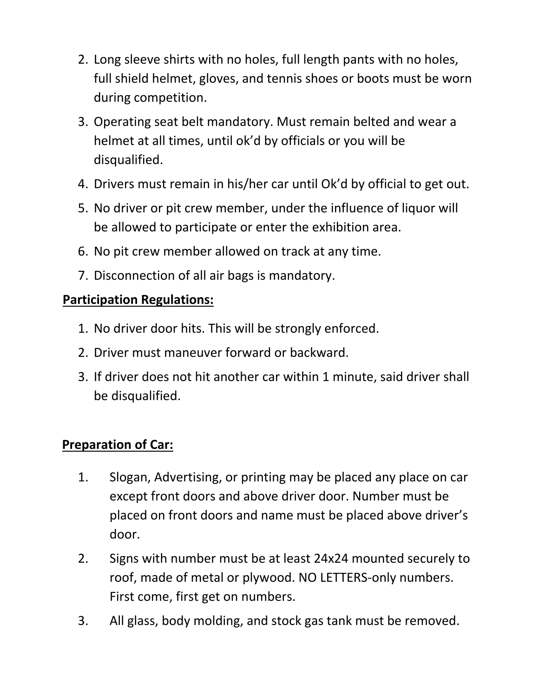- 2. Long sleeve shirts with no holes, full length pants with no holes, full shield helmet, gloves, and tennis shoes or boots must be worn during competition.
- 3. Operating seat belt mandatory. Must remain belted and wear a helmet at all times, until ok'd by officials or you will be disqualified.
- 4. Drivers must remain in his/her car until Ok'd by official to get out.
- 5. No driver or pit crew member, under the influence of liquor will be allowed to participate or enter the exhibition area.
- 6. No pit crew member allowed on track at any time.
- 7. Disconnection of all air bags is mandatory.

#### **Participation Regulations:**

- 1. No driver door hits. This will be strongly enforced.
- 2. Driver must maneuver forward or backward.
- 3. If driver does not hit another car within 1 minute, said driver shall be disqualified.

#### **Preparation of Car:**

- 1. Slogan, Advertising, or printing may be placed any place on car except front doors and above driver door. Number must be placed on front doors and name must be placed above driver's door.
- 2. Signs with number must be at least 24x24 mounted securely to roof, made of metal or plywood. NO LETTERS‐only numbers. First come, first get on numbers.
- 3. All glass, body molding, and stock gas tank must be removed.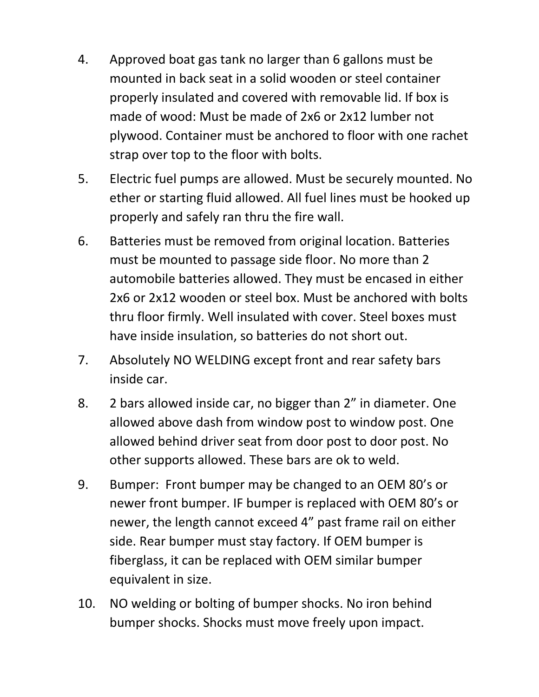- 4. Approved boat gas tank no larger than 6 gallons must be mounted in back seat in a solid wooden or steel container properly insulated and covered with removable lid. If box is made of wood: Must be made of 2x6 or 2x12 lumber not plywood. Container must be anchored to floor with one rachet strap over top to the floor with bolts.
- 5. Electric fuel pumps are allowed. Must be securely mounted. No ether or starting fluid allowed. All fuel lines must be hooked up properly and safely ran thru the fire wall.
- 6. Batteries must be removed from original location. Batteries must be mounted to passage side floor. No more than 2 automobile batteries allowed. They must be encased in either 2x6 or 2x12 wooden or steel box. Must be anchored with bolts thru floor firmly. Well insulated with cover. Steel boxes must have inside insulation, so batteries do not short out.
- 7. Absolutely NO WELDING except front and rear safety bars inside car.
- 8. 2 bars allowed inside car, no bigger than 2" in diameter. One allowed above dash from window post to window post. One allowed behind driver seat from door post to door post. No other supports allowed. These bars are ok to weld.
- 9. Bumper: Front bumper may be changed to an OEM 80's or newer front bumper. IF bumper is replaced with OEM 80's or newer, the length cannot exceed 4" past frame rail on either side. Rear bumper must stay factory. If OEM bumper is fiberglass, it can be replaced with OEM similar bumper equivalent in size.
- 10. NO welding or bolting of bumper shocks. No iron behind bumper shocks. Shocks must move freely upon impact.